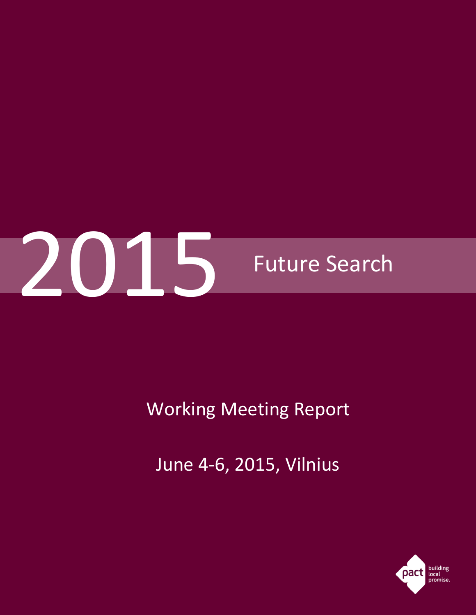

Working Meeting Report

June 4-6, 2015, Vilnius

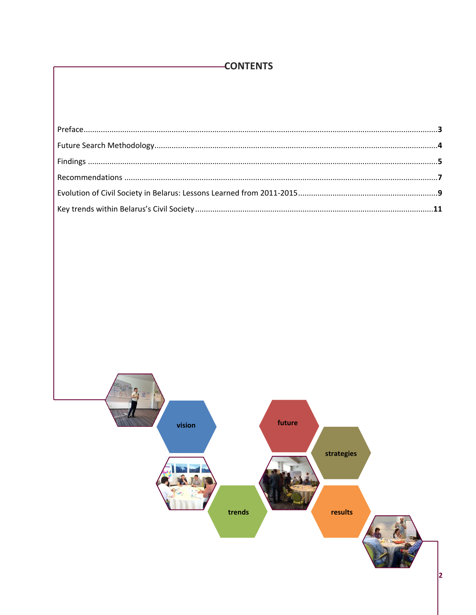# -CONTENTS

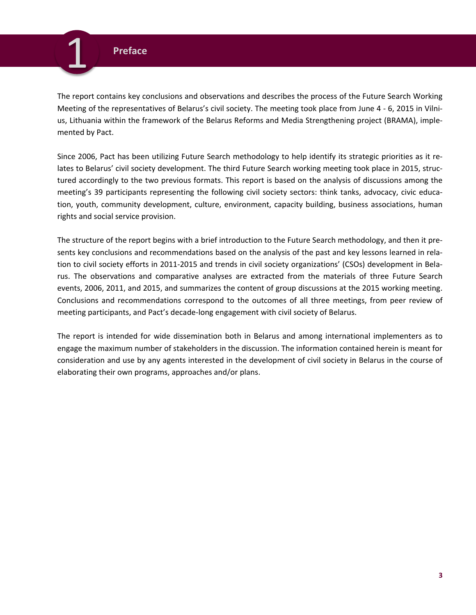# **Preface**

<span id="page-2-0"></span>1

The report contains key conclusions and observations and describes the process of the Future Search Working Meeting of the representatives of Belarus's civil society. The meeting took place from June 4 - 6, 2015 in Vilnius, Lithuania within the framework of the Belarus Reforms and Media Strengthening project (BRAMA), implemented by Pact.

Since 2006, Pact has been utilizing Future Search methodology to help identify its strategic priorities as it relates to Belarus' civil society development. The third Future Search working meeting took place in 2015, structured accordingly to the two previous formats. This report is based on the analysis of discussions among the meeting's 39 participants representing the following civil society sectors: think tanks, advocacy, civic education, youth, community development, culture, environment, capacity building, business associations, human rights and social service provision.

The structure of the report begins with a brief introduction to the Future Search methodology, and then it presents key conclusions and recommendations based on the analysis of the past and key lessons learned in relation to civil society efforts in 2011-2015 and trends in civil society organizations' (CSOs) development in Belarus. The observations and comparative analyses are extracted from the materials of three Future Search events, 2006, 2011, and 2015, and summarizes the content of group discussions at the 2015 working meeting. Conclusions and recommendations correspond to the outcomes of all three meetings, from peer review of meeting participants, and Pact's decade-long engagement with civil society of Belarus.

The report is intended for wide dissemination both in Belarus and among international implementers as to engage the maximum number of stakeholders in the discussion. The information contained herein is meant for consideration and use by any agents interested in the development of civil society in Belarus in the course of elaborating their own programs, approaches and/or plans.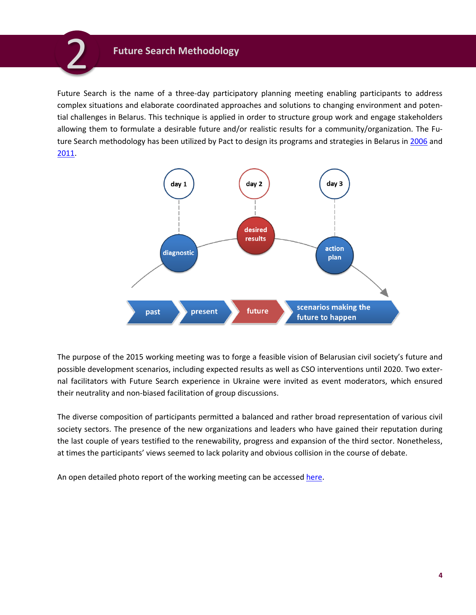# **Future Search Methodology**

<span id="page-3-0"></span>2

Future Search is the name of a three-day participatory planning meeting enabling participants to address complex situations and elaborate coordinated approaches and solutions to changing environment and potential challenges in Belarus. This technique is applied in order to structure group work and engage stakeholders allowing them to formulate a desirable future and/or realistic results for a community/organization. The Future Search methodology has been utilized by Pact to design its programs and strategies in Belarus in [2006](http://www.pactworld.org/sites/default/files/2006_Future_Search_Summary_RU.pdf) and [2011.](http://www.pactworld.org/sites/default/files/2011_Future_Search_report_RU.pdf)



The purpose of the 2015 working meeting was to forge a feasible vision of Belarusian civil society's future and possible development scenarios, including expected results as well as CSO interventions until 2020. Two external facilitators with Future Search experience in Ukraine were invited as event moderators, which ensured their neutrality and non-biased facilitation of group discussions.

The diverse composition of participants permitted a balanced and rather broad representation of various civil society sectors. The presence of the new organizations and leaders who have gained their reputation during the last couple of years testified to the renewability, progress and expansion of the third sector. Nonetheless, at times the participants' views seemed to lack polarity and obvious collision in the course of debate.

An open detailed photo report of the working meeting can be accessed [here.](https://drive.google.com/file/d/0B-tIugYt_UmEcmlaYk9xX013U3c/view)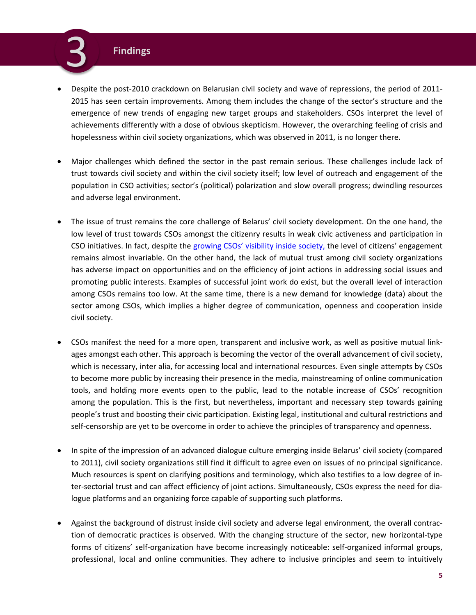# **Findings**

<span id="page-4-0"></span>3

- Despite the post-2010 crackdown on Belarusian civil society and wave of repressions, the period of 2011- 2015 has seen certain improvements. Among them includes the change of the sector's structure and the emergence of new trends of engaging new target groups and stakeholders. CSOs interpret the level of achievements differently with a dose of obvious skepticism. However, the overarching feeling of crisis and hopelessness within civil society organizations, which was observed in 2011, is no longer there.
- Major challenges which defined the sector in the past remain serious. These challenges include lack of trust towards civil society and within the civil society itself; low level of outreach and engagement of the population in CSO activities; sector's (political) polarization and slow overall progress; dwindling resources and adverse legal environment.
- The issue of trust remains the core challenge of Belarus' civil society development. On the one hand, the low level of trust towards CSOs amongst the citizenry results in weak civic activeness and participation in CSO initiatives. In fact, despite the growing CSOs' [visibility inside society,](http://www.pactworld.org/sites/default/files/BRAMA2014Final.pdf) the level of citizens' engagement remains almost invariable. On the other hand, the lack of mutual trust among civil society organizations has adverse impact on opportunities and on the efficiency of joint actions in addressing social issues and promoting public interests. Examples of successful joint work do exist, but the overall level of interaction among CSOs remains too low. At the same time, there is a new demand for knowledge (data) about the sector among CSOs, which implies a higher degree of communication, openness and cooperation inside civil society.
- CSOs manifest the need for a more open, transparent and inclusive work, as well as positive mutual linkages amongst each other. This approach is becoming the vector of the overall advancement of civil society, which is necessary, inter alia, for accessing local and international resources. Even single attempts by CSOs to become more public by increasing their presence in the media, mainstreaming of online communication tools, and holding more events open to the public, lead to the notable increase of CSOs' recognition among the population. This is the first, but nevertheless, important and necessary step towards gaining people's trust and boosting their civic participation. Existing legal, institutional and cultural restrictions and self-censorship are yet to be overcome in order to achieve the principles of transparency and openness.
- In spite of the impression of an advanced dialogue culture emerging inside Belarus' civil society (compared to 2011), civil society organizations still find it difficult to agree even on issues of no principal significance. Much resources is spent on clarifying positions and terminology, which also testifies to a low degree of inter-sectorial trust and can affect efficiency of joint actions. Simultaneously, CSOs express the need for dialogue platforms and an organizing force capable of supporting such platforms.
- Against the background of distrust inside civil society and adverse legal environment, the overall contraction of democratic practices is observed. With the changing structure of the sector, new horizontal-type forms of citizens' self-organization have become increasingly noticeable: self-organized informal groups, professional, local and online communities. They adhere to inclusive principles and seem to intuitively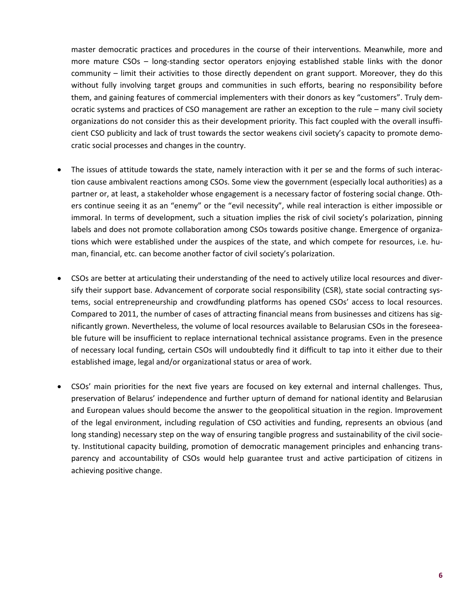master democratic practices and procedures in the course of their interventions. Meanwhile, more and more mature CSOs – long-standing sector operators enjoying established stable links with the donor community – limit their activities to those directly dependent on grant support. Moreover, they do this without fully involving target groups and communities in such efforts, bearing no responsibility before them, and gaining features of commercial implementers with their donors as key "customers". Truly democratic systems and practices of CSO management are rather an exception to the rule – many civil society organizations do not consider this as their development priority. This fact coupled with the overall insufficient CSO publicity and lack of trust towards the sector weakens civil society's capacity to promote democratic social processes and changes in the country.

- The issues of attitude towards the state, namely interaction with it per se and the forms of such interaction cause ambivalent reactions among CSOs. Some view the government (especially local authorities) as a partner or, at least, a stakeholder whose engagement is a necessary factor of fostering social change. Others continue seeing it as an "enemy" or the "evil necessity", while real interaction is either impossible or immoral. In terms of development, such a situation implies the risk of civil society's polarization, pinning labels and does not promote collaboration among CSOs towards positive change. Emergence of organizations which were established under the auspices of the state, and which compete for resources, i.e. human, financial, etc. can become another factor of civil society's polarization.
- CSOs are better at articulating their understanding of the need to actively utilize local resources and diversify their support base. Advancement of corporate social responsibility (CSR), state social contracting systems, social entrepreneurship and crowdfunding platforms has opened CSOs' access to local resources. Compared to 2011, the number of cases of attracting financial means from businesses and citizens has significantly grown. Nevertheless, the volume of local resources available to Belarusian CSOs in the foreseeable future will be insufficient to replace international technical assistance programs. Even in the presence of necessary local funding, certain CSOs will undoubtedly find it difficult to tap into it either due to their established image, legal and/or organizational status or area of work.
- CSOs' main priorities for the next five years are focused on key external and internal challenges. Thus, preservation of Belarus' independence and further upturn of demand for national identity and Belarusian and European values should become the answer to the geopolitical situation in the region. Improvement of the legal environment, including regulation of CSO activities and funding, represents an obvious (and long standing) necessary step on the way of ensuring tangible progress and sustainability of the civil society. Institutional capacity building, promotion of democratic management principles and enhancing transparency and accountability of CSOs would help guarantee trust and active participation of citizens in achieving positive change.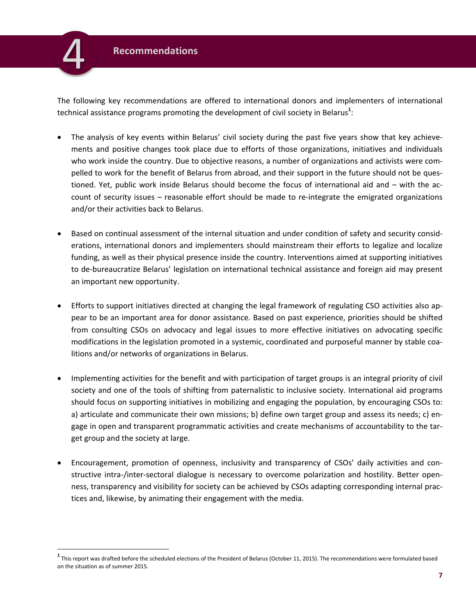<span id="page-6-0"></span>

 $\overline{a}$ 

The following key recommendations are offered to international donors and implementers of international technical assistance programs promoting the development of civil society in Belarus**<sup>1</sup>** :

- The analysis of key events within Belarus' civil society during the past five years show that key achievements and positive changes took place due to efforts of those organizations, initiatives and individuals who work inside the country. Due to objective reasons, a number of organizations and activists were compelled to work for the benefit of Belarus from abroad, and their support in the future should not be questioned. Yet, public work inside Belarus should become the focus of international aid and – with the account of security issues – reasonable effort should be made to re-integrate the emigrated organizations and/or their activities back to Belarus.
- Based on continual assessment of the internal situation and under condition of safety and security considerations, international donors and implementers should mainstream their efforts to legalize and localize funding, as well as their physical presence inside the country. Interventions aimed at supporting initiatives to de-bureaucratize Belarus' legislation on international technical assistance and foreign aid may present an important new opportunity.
- Efforts to support initiatives directed at changing the legal framework of regulating CSO activities also appear to be an important area for donor assistance. Based on past experience, priorities should be shifted from consulting CSOs on advocacy and legal issues to more effective initiatives on advocating specific modifications in the legislation promoted in a systemic, coordinated and purposeful manner by stable coalitions and/or networks of organizations in Belarus.
- Implementing activities for the benefit and with participation of target groups is an integral priority of civil society and one of the tools of shifting from paternalistic to inclusive society. International aid programs should focus on supporting initiatives in mobilizing and engaging the population, by encouraging CSOs to: a) articulate and communicate their own missions; b) define own target group and assess its needs; c) engage in open and transparent programmatic activities and create mechanisms of accountability to the target group and the society at large.
- Encouragement, promotion of openness, inclusivity and transparency of CSOs' daily activities and constructive intra-/inter-sectoral dialogue is necessary to overcome polarization and hostility. Better openness, transparency and visibility for society can be achieved by CSOs adapting corresponding internal practices and, likewise, by animating their engagement with the media.

**<sup>1</sup>** This report was drafted before the scheduled elections of the President of Belarus (October 11, 2015). The recommendations were formulated based on the situation as of summer 2015.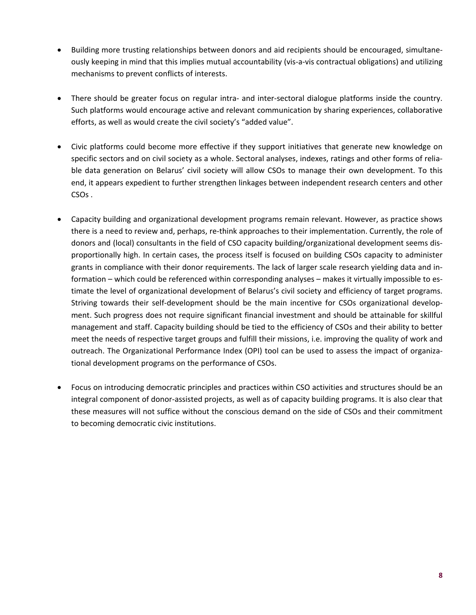- Building more trusting relationships between donors and aid recipients should be encouraged, simultaneously keeping in mind that this implies mutual accountability (vis-a-vis contractual obligations) and utilizing mechanisms to prevent conflicts of interests.
- There should be greater focus on regular intra- and inter-sectoral dialogue platforms inside the country. Such platforms would encourage active and relevant communication by sharing experiences, collaborative efforts, as well as would create the civil society's "added value".
- Civic platforms could become more effective if they support initiatives that generate new knowledge on specific sectors and on civil society as a whole. Sectoral analyses, indexes, ratings and other forms of reliable data generation on Belarus' civil society will allow CSOs to manage their own development. To this end, it appears expedient to further strengthen linkages between independent research centers and other CSOs .
- Capacity building and organizational development programs remain relevant. However, as practice shows there is a need to review and, perhaps, re-think approaches to their implementation. Currently, the role of donors and (local) consultants in the field of CSO capacity building/organizational development seems disproportionally high. In certain cases, the process itself is focused on building CSOs capacity to administer grants in compliance with their donor requirements. The lack of larger scale research yielding data and information – which could be referenced within corresponding analyses – makes it virtually impossible to estimate the level of organizational development of Belarus's civil society and efficiency of target programs. Striving towards their self-development should be the main incentive for CSOs organizational development. Such progress does not require significant financial investment and should be attainable for skillful management and staff. Capacity building should be tied to the efficiency of CSOs and their ability to better meet the needs of respective target groups and fulfill their missions, i.e. improving the quality of work and outreach. The Organizational Performance Index (OPI) tool can be used to assess the impact of organizational development programs on the performance of CSOs.
- Focus on introducing democratic principles and practices within CSO activities and structures should be an integral component of donor-assisted projects, as well as of capacity building programs. It is also clear that these measures will not suffice without the conscious demand on the side of CSOs and their commitment to becoming democratic civic institutions.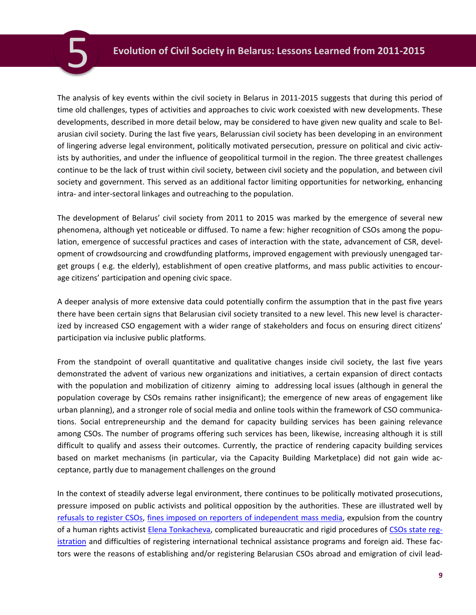The analysis of key events within the civil society in Belarus in 2011-2015 suggests that during this period of time old challenges, types of activities and approaches to civic work coexisted with new developments. These developments, described in more detail below, may be considered to have given new quality and scale to Belarusian civil society. During the last five years, Belarussian civil society has been developing in an environment of lingering adverse legal environment, politically motivated persecution, pressure on political and civic activists by authorities, and under the influence of geopolitical turmoil in the region. The three greatest challenges continue to be the lack of trust within civil society, between civil society and the population, and between civil society and government. This served as an additional factor limiting opportunities for networking, enhancing intra- and inter-sectoral linkages and outreaching to the population.

<span id="page-8-0"></span>5

The development of Belarus' civil society from 2011 to 2015 was marked by the emergence of several new phenomena, although yet noticeable or diffused. To name a few: higher recognition of CSOs among the population, emergence of successful practices and cases of interaction with the state, advancement of CSR, development of crowdsourcing and crowdfunding platforms, improved engagement with previously unengaged target groups ( e.g. the elderly), establishment of open creative platforms, and mass public activities to encourage citizens' participation and opening civic space.

A deeper analysis of more extensive data could potentially confirm the assumption that in the past five years there have been certain signs that Belarusian civil society transited to a new level. This new level is characterized by increased CSO engagement with a wider range of stakeholders and focus on ensuring direct citizens' participation via inclusive public platforms.

From the standpoint of overall quantitative and qualitative changes inside civil society, the last five years demonstrated the advent of various new organizations and initiatives, a certain expansion of direct contacts with the population and mobilization of citizenry aiming to addressing local issues (although in general the population coverage by CSOs remains rather insignificant); the emergence of new areas of engagement like urban planning), and a stronger role of social media and online tools within the framework of CSO communications. Social entrepreneurship and the demand for capacity building services has been gaining relevance among CSOs. The number of programs offering such services has been, likewise, increasing although it is still difficult to qualify and assess their outcomes. Currently, the practice of rendering capacity building services based on market mechanisms (in particular, via the Capacity Building Marketplace) did not gain wide acceptance, partly due to management challenges on the ground

In the context of steadily adverse legal environment, there continues to be politically motivated prosecutions, pressure imposed on public activists and political opposition by the authorities. These are illustrated well by [refusals to register CSOs,](http://eurobelarus.info/files/userfiles/SA-2014-kvartal-2-B.pdf) [fines imposed on reporters of independent mass media,](http://baj.by/ru/node/28298) expulsion from the country of a human rights activist [Elena Tonkacheva,](http://www.lawtrend.org/expulsion/spravochnaya-informatsiya-o-vysylke-eleny-tonkachevoj-iz-respubliki-belarus-ot-17-11-2014) complicated bureaucratic and rigid procedures of CSOs [state reg](http://eurobelarus.info/news/society/2014/02/14/ol-ga-smolyanko-2013-god-stal-samym-neproduktivnym-dlya-registratsii-nko-v-belarusi-za-vosem-let.html)[istration](http://eurobelarus.info/news/society/2014/02/14/ol-ga-smolyanko-2013-god-stal-samym-neproduktivnym-dlya-registratsii-nko-v-belarusi-za-vosem-let.html) and difficulties of registering international technical assistance programs and foreign aid. These factors were the reasons of establishing and/or registering Belarusian CSOs abroad and emigration of civil lead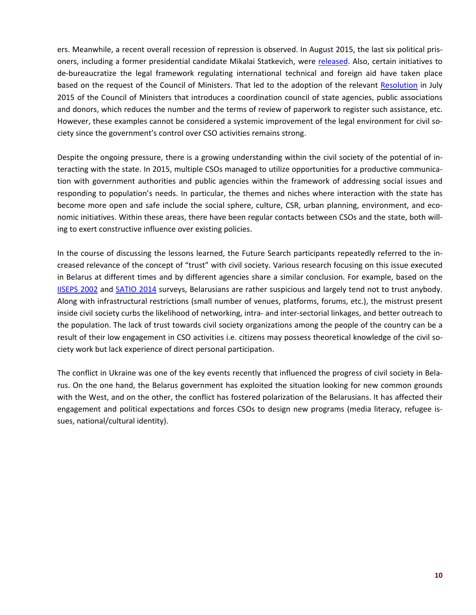ers. Meanwhile, a recent overall recession of repression is observed. In August 2015, the last six political prisoners, including a former presidential candidate Mikalai Statkevich, were [released.](http://humanrightshouse.org/Articles/21127.html) Also, certain initiatives to de-bureaucratize the legal framework regulating international technical and foreign aid have taken place based on the request of the Council of Ministers. That led to the adoption of the relevant [Resolution](http://www.belta.by/economics/view/v-belarusi-vnedrjaetsja-printsip-odnogo-okna-dlja-vseh-proektov-mezhdunarodnoj-tehnicheskoj-pomoschi-150120-2015) in July 2015 of the Council of Ministers that introduces a coordination council of state agencies, public associations and donors, which reduces the number and the terms of review of paperwork to register such assistance, etc. However, these examples cannot be considered a systemic improvement of the legal environment for civil society since the government's control over CSO activities remains strong.

Despite the ongoing pressure, there is a growing understanding within the civil society of the potential of interacting with the state. In 2015, multiple CSOs managed to utilize opportunities for a productive communication with government authorities and public agencies within the framework of addressing social issues and responding to population's needs. In particular, the themes and niches where interaction with the state has become more open and safe include the social sphere, culture, CSR, urban planning, environment, and economic initiatives. Within these areas, there have been regular contacts between CSOs and the state, both willing to exert constructive influence over existing policies.

In the course of discussing the lessons learned, the Future Search participants repeatedly referred to the increased relevance of the concept of "trust" with civil society. Various research focusing on this issue executed in Belarus at different times and by different agencies share a similar conclusion. For example, based on the [IISEPS 2002](http://iiseps.org/old/112-02-03.html) and [SATIO 2014](http://www.satio.by/publications/researches/243.html) surveys, Belarusians are rather suspicious and largely tend not to trust anybody. Along with infrastructural restrictions (small number of venues, platforms, forums, etc.), the mistrust present inside civil society curbs the likelihood of networking, intra- and inter-sectorial linkages, and better outreach to the population. The lack of trust towards civil society organizations among the people of the country can be a result of their low engagement in CSO activities i.e. citizens may possess theoretical knowledge of the civil society work but lack experience of direct personal participation.

The conflict in Ukraine was one of the key events recently that influenced the progress of civil society in Belarus. On the one hand, the Belarus government has exploited the situation looking for new common grounds with the West, and on the other, the conflict has fostered polarization of the Belarusians. It has affected their engagement and political expectations and forces CSOs to design new programs (media literacy, refugee issues, national/cultural identity).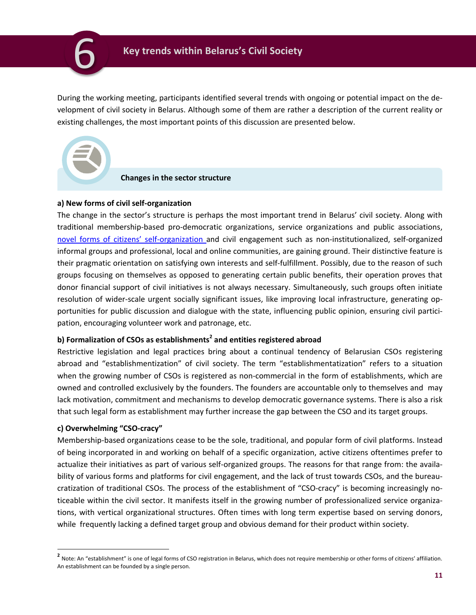<span id="page-10-0"></span>

During the working meeting, participants identified several trends with ongoing or potential impact on the development of civil society in Belarus. Although some of them are rather a description of the current reality or existing challenges, the most important points of this discussion are presented below.



#### **Changes in the sector structure**

#### **а) New forms of civil self-organization**

The change in the sector's structure is perhaps the most important trend in Belarus' civil society. Along with traditional membership-based pro-democratic organizations, service organizations and public associations, novel [forms of citizens' sel](https://docs.google.com/spreadsheets/d/17yv-_QrUcIn53uFQNwTBDyaZsehx7WCNj-4d5u58Z8A/edit?pli=1#gid=4)f-organization and civil engagement such as non-institutionalized, self-organized informal groups and professional, local and online communities, are gaining ground. Their distinctive feature is their pragmatic orientation on satisfying own interests and self-fulfillment. Possibly, due to the reason of such groups focusing on themselves as opposed to generating certain public benefits, their operation proves that donor financial support of civil initiatives is not always necessary. Simultaneously, such groups often initiate resolution of wider-scale urgent socially significant issues, like improving local infrastructure, generating opportunities for public discussion and dialogue with the state, influencing public opinion, ensuring civil participation, encouraging volunteer work and patronage, etc.

## **b) Formalization of CSOs as establishments<sup>2</sup> and entities registered abroad**

Restrictive legislation and legal practices bring about a continual tendency of Belarusian CSOs registering abroad and "establishmentization" of civil society. The term "establishmentatization" refers to a situation when the growing number of CSOs is registered as non-commercial in the form of establishments, which are owned and controlled exclusively by the founders. The founders are accountable only to themselves and may lack motivation, commitment and mechanisms to develop democratic governance systems. There is also a risk that such legal form as establishment may further increase the gap between the CSO and its target groups.

#### **c) Overwhelming "CSO-cracy"**

 $\overline{a}$ 

Membership-based organizations cease to be the sole, traditional, and popular form of civil platforms. Instead of being incorporated in and working on behalf of a specific organization, active citizens oftentimes prefer to actualize their initiatives as part of various self-organized groups. The reasons for that range from: the availability of various forms and platforms for civil engagement, and the lack of trust towards CSOs, and the bureaucratization of traditional CSOs. The process of the establishment of "CSO-cracy" is becoming increasingly noticeable within the civil sector. It manifests itself in the growing number of professionalized service organizations, with vertical organizational structures. Often times with long term expertise based on serving donors, while frequently lacking a defined target group and obvious demand for their product within society.

**<sup>2</sup>** Note: An "establishment" is one of legal forms of CSO registration in Belarus, which does not require membership or other forms of citizens' affiliation. An establishment can be founded by a single person.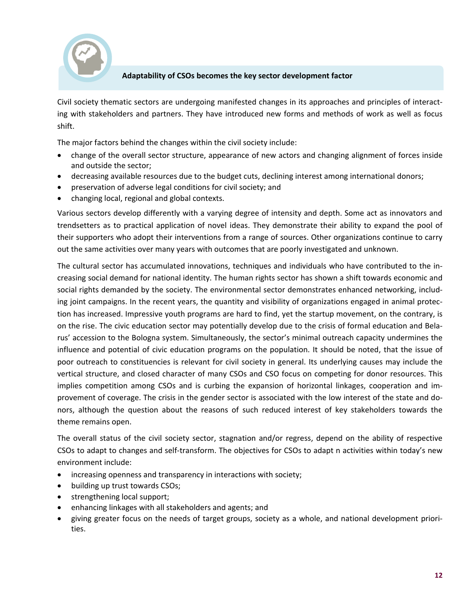

## **Adaptability of CSOs becomes the key sector development factor**

Civil society thematic sectors are undergoing manifested changes in its approaches and principles of interacting with stakeholders and partners. They have introduced new forms and methods of work as well as focus shift.

The major factors behind the changes within the civil society include:

- change of the overall sector structure, appearance of new actors and changing alignment of forces inside and outside the sector;
- decreasing available resources due to the budget cuts, declining interest among international donors;
- preservation of adverse legal conditions for civil society; and
- changing local, regional and global contexts.

Various sectors develop differently with a varying degree of intensity and depth. Some act as innovators and trendsetters as to practical application of novel ideas. They demonstrate their ability to expand the pool of their supporters who adopt their interventions from a range of sources. Other organizations continue to carry out the same activities over many years with outcomes that are poorly investigated and unknown.

The cultural sector has accumulated innovations, techniques and individuals who have contributed to the increasing social demand for national identity. The human rights sector has shown a shift towards economic and social rights demanded by the society. The environmental sector demonstrates enhanced networking, including joint campaigns. In the recent years, the quantity and visibility of organizations engaged in animal protection has increased. Impressive youth programs are hard to find, yet the startup movement, on the contrary, is on the rise. The civic education sector may potentially develop due to the crisis of formal education and Belarus' accession to the Bologna system. Simultaneously, the sector's minimal outreach capacity undermines the influence and potential of civic education programs on the population. It should be noted, that the issue of poor outreach to constituencies is relevant for civil society in general. Its underlying causes may include the vertical structure, and closed character of many CSOs and CSO focus on competing for donor resources. This implies competition among CSOs and is curbing the expansion of horizontal linkages, cooperation and improvement of coverage. The crisis in the gender sector is associated with the low interest of the state and donors, although the question about the reasons of such reduced interest of key stakeholders towards the theme remains open.

The overall status of the civil society sector, stagnation and/or regress, depend on the ability of respective CSOs to adapt to changes and self-transform. The objectives for CSOs to adapt n activities within today's new environment include:

- increasing openness and transparency in interactions with society;
- building up trust towards CSOs;
- strengthening local support;
- enhancing linkages with all stakeholders and agents; and
- giving greater focus on the needs of target groups, society as a whole, and national development priorities.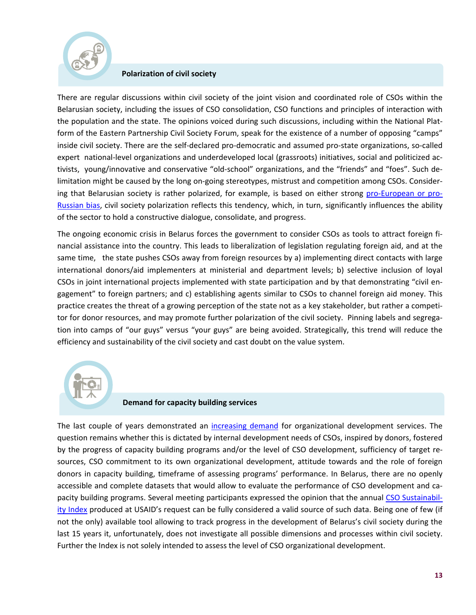

#### **Polarization of civil society**

There are regular discussions within civil society of the joint vision and coordinated role of CSOs within the Belarusian society, including the issues of CSO consolidation, CSO functions and principles of interaction with the population and the state. The opinions voiced during such discussions, including within the National Platform of the Eastern Partnership Civil Society Forum, speak for the existence of a number of opposing "camps" inside civil society. There are the self-declared pro-democratic and assumed pro-state organizations, so-called expert national-level organizations and underdeveloped local (grassroots) initiatives, social and politicized activists, young/innovative and conservative "old-school" organizations, and the "friends" and "foes". Such delimitation might be caused by the long on-going stereotypes, mistrust and competition among CSOs. Considering that Belarusian society is rather polarized, for example, is based on either strong [pro-European or pro-](http://www.iiseps.org/analitica/559)[Russian bias,](http://www.iiseps.org/analitica/559) civil society polarization reflects this tendency, which, in turn, significantly influences the ability of the sector to hold a constructive dialogue, consolidate, and progress.

The ongoing economic crisis in Belarus forces the government to consider CSOs as tools to attract foreign financial assistance into the country. This leads to liberalization of legislation regulating foreign aid, and at the same time, the state pushes CSOs away from foreign resources by a) implementing direct contacts with large international donors/aid implementers at ministerial and department levels; b) selective inclusion of loyal CSOs in joint international projects implemented with state participation and by that demonstrating "civil engagement" to foreign partners; and c) establishing agents similar to CSOs to channel foreign aid money. This practice creates the threat of a growing perception of the state not as a key stakeholder, but rather a competitor for donor resources, and may promote further polarization of the civil society. Pinning labels and segregation into camps of "our guys" versus "your guys" are being avoided. Strategically, this trend will reduce the efficiency and sustainability of the civil society and cast doubt on the value system.



#### **Demand for capacity building services**

The last couple of years demonstrated an [increasing demand](https://drive.google.com/file/d/0B-tIugYt_UmEZHdZQ1VmRmt3dE0/view) for organizational development services. The question remains whether this is dictated by internal development needs of CSOs, inspired by donors, fostered by the progress of capacity building programs and/or the level of CSO development, sufficiency of target resources, CSO commitment to its own organizational development, attitude towards and the role of foreign donors in capacity building, timeframe of assessing programs' performance. In Belarus, there are no openly accessible and complete datasets that would allow to evaluate the performance of CSO development and capacity building programs. Several meeting participants expressed the opinion that the annual [CSO Sustainabil](https://www.usaid.gov/sites/default/files/documents/1863/CSOSI-Report-FINAL-7-2-15.pdf)[ity Index](https://www.usaid.gov/sites/default/files/documents/1863/CSOSI-Report-FINAL-7-2-15.pdf) produced at USAID's request can be fully considered a valid source of such data. Being one of few (if not the only) available tool allowing to track progress in the development of Belarus's civil society during the last 15 years it, unfortunately, does not investigate all possible dimensions and processes within civil society. Further the Index is not solely intended to assess the level of CSO organizational development.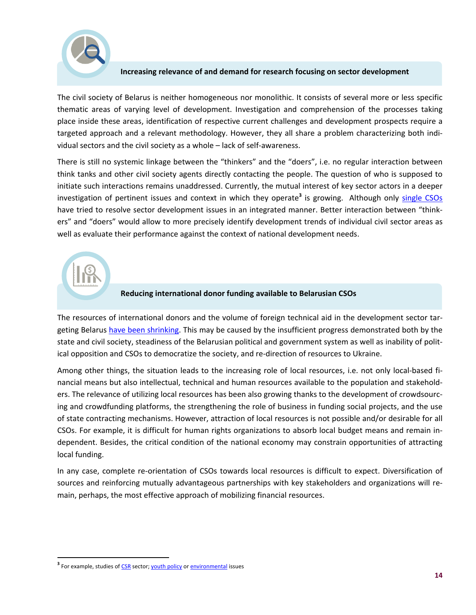

## **Increasing relevance of and demand for research focusing on sector development**

The civil society of Belarus is neither homogeneous nor monolithic. It consists of several more or less specific thematic areas of varying level of development. Investigation and comprehension of the processes taking place inside these areas, identification of respective current challenges and development prospects require a targeted approach and a relevant methodology. However, they all share a problem characterizing both individual sectors and the civil society as a whole – lack of self-awareness.

There is still no systemic linkage between the "thinkers" and the "doers", i.e. no regular interaction between think tanks and other civil society agents directly contacting the people. The question of who is supposed to initiate such interactions remains unaddressed. Currently, the mutual interest of key sector actors in a deeper investigation of pertinent issues and context in which they operate<sup>3</sup> is growing. Although only [single CSOs](http://oeec.by/ekspertyza/sektarny-analiz) have tried to resolve sector development issues in an integrated manner. Better interaction between "thinkers" and "doers" would allow to more precisely identify development trends of individual civil sector areas as well as evaluate their performance against the context of national development needs.

## **Reducing international donor funding available to Belarusian CSOs**

The resources of international donors and the volume of foreign technical aid in the development sector targeting Belarus [have been shrinking.](http://www.oecd.org/dac/stats/) This may be caused by the insufficient progress demonstrated both by the state and civil society, steadiness of the Belarusian political and government system as well as inability of political opposition and CSOs to democratize the society, and re-direction of resources to Ukraine.

Among other things, the situation leads to the increasing role of local resources, i.e. not only local-based financial means but also intellectual, technical and human resources available to the population and stakeholders. The relevance of utilizing local resources has been also growing thanks to the development of crowdsourcing and crowdfunding platforms, the strengthening the role of business in funding social projects, and the use of state contracting mechanisms. However, attraction of local resources is not possible and/or desirable for all CSOs. For example, it is difficult for human rights organizations to absorb local budget means and remain independent. Besides, the critical condition of the national economy may constrain opportunities of attracting local funding.

In any case, complete re-orientation of CSOs towards local resources is difficult to expect. Diversification of sources and reinforcing mutually advantageous partnerships with key stakeholders and organizations will remain, perhaps, the most effective approach of mobilizing financial resources.

 $\overline{a}$ 

<sup>&</sup>lt;sup>3</sup> For example, studies of <u>CSR</u> sector; <u>youth policy</u> or <u>environmental</u> issues